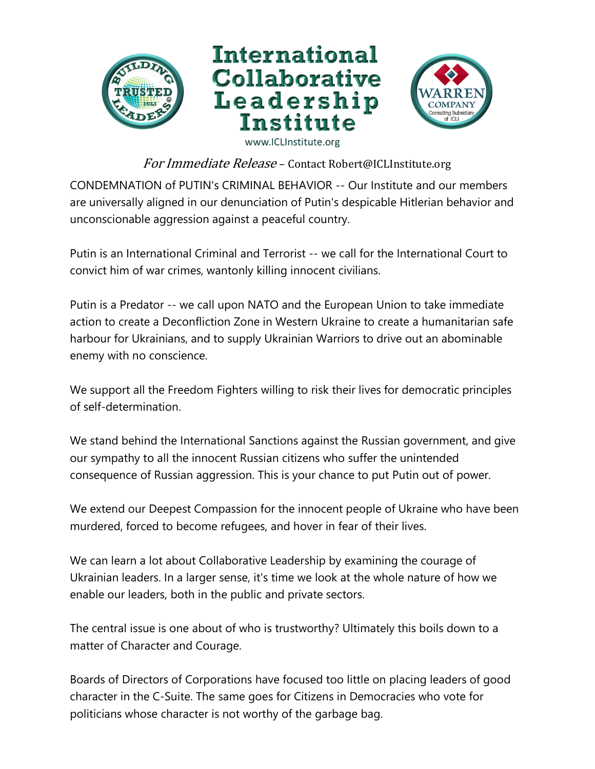



For Immediate Release - Contact Robert@ICLInstitute.org

CONDEMNATION of PUTIN's CRIMINAL BEHAVIOR -- Our Institute and our members are universally aligned in our denunciation of Putin's despicable Hitlerian behavior and unconscionable aggression against a peaceful country.

Putin is an International Criminal and Terrorist -- we call for the International Court to convict him of war crimes, wantonly killing innocent civilians.

Putin is a Predator -- we call upon NATO and the European Union to take immediate action to create a Deconfliction Zone in Western Ukraine to create a humanitarian safe harbour for Ukrainians, and to supply Ukrainian Warriors to drive out an abominable enemy with no conscience.

We support all the Freedom Fighters willing to risk their lives for democratic principles of self-determination.

We stand behind the International Sanctions against the Russian government, and give our sympathy to all the innocent Russian citizens who suffer the unintended consequence of Russian aggression. This is your chance to put Putin out of power.

We extend our Deepest Compassion for the innocent people of Ukraine who have been murdered, forced to become refugees, and hover in fear of their lives.

We can learn a lot about Collaborative Leadership by examining the courage of Ukrainian leaders. In a larger sense, it's time we look at the whole nature of how we enable our leaders, both in the public and private sectors.

The central issue is one about of who is trustworthy? Ultimately this boils down to a matter of Character and Courage.

Boards of Directors of Corporations have focused too little on placing leaders of good character in the C-Suite. The same goes for Citizens in Democracies who vote for politicians whose character is not worthy of the garbage bag.